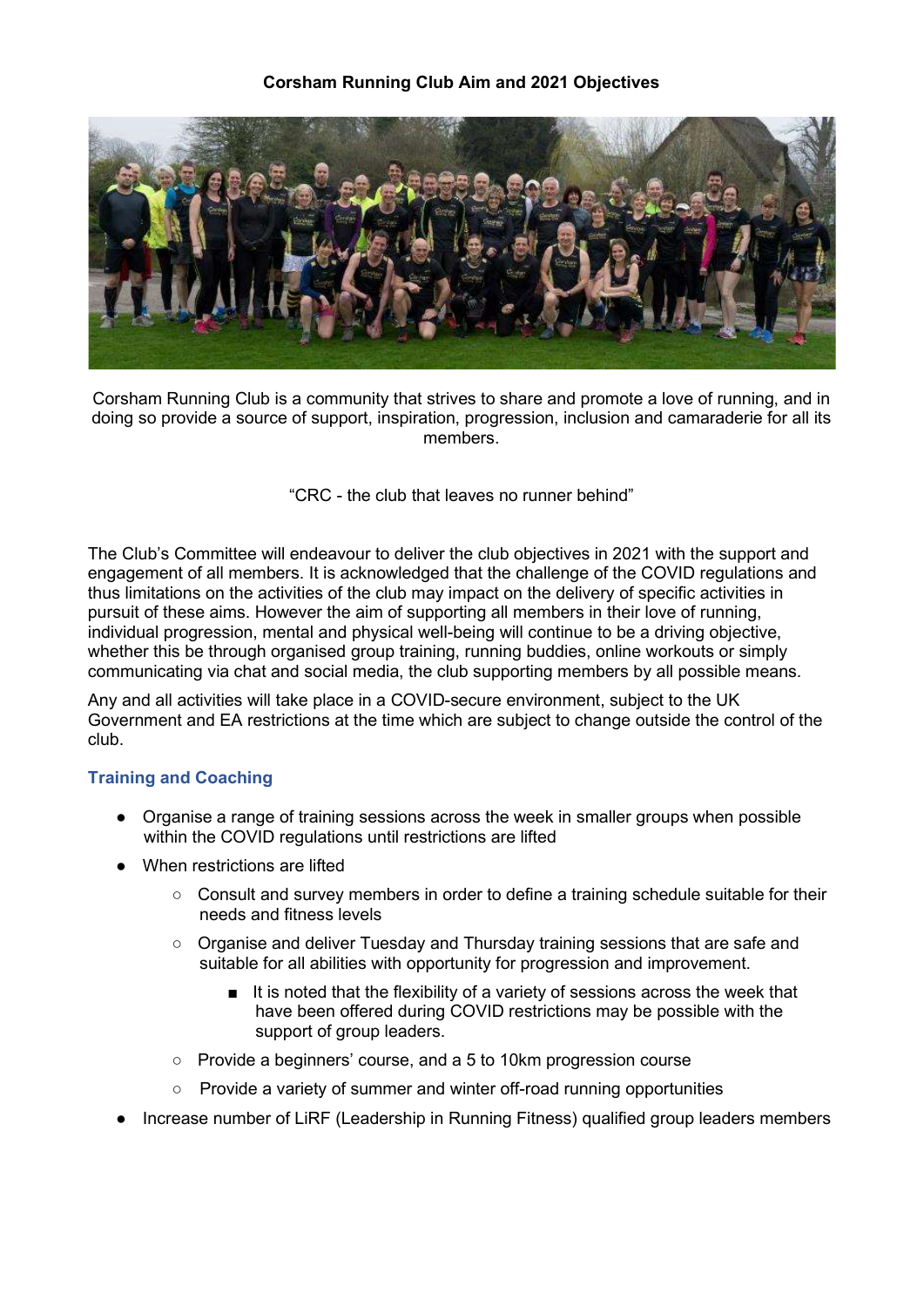## Corsham Running Club Aim and 2021 Objectives



Corsham Running Club is a community that strives to share and promote a love of running, and in doing so provide a source of support, inspiration, progression, inclusion and camaraderie for all its members.

"CRC - the club that leaves no runner behind"

The Club's Committee will endeavour to deliver the club objectives in 2021 with the support and engagement of all members. It is acknowledged that the challenge of the COVID regulations and thus limitations on the activities of the club may impact on the delivery of specific activities in pursuit of these aims. However the aim of supporting all members in their love of running, individual progression, mental and physical well-being will continue to be a driving objective, whether this be through organised group training, running buddies, online workouts or simply communicating via chat and social media, the club supporting members by all possible means.

Any and all activities will take place in a COVID-secure environment, subject to the UK Government and EA restrictions at the time which are subject to change outside the control of the club.

# Training and Coaching

- Organise a range of training sessions across the week in smaller groups when possible within the COVID regulations until restrictions are lifted
- When restrictions are lifted
	- Consult and survey members in order to define a training schedule suitable for their needs and fitness levels
	- Organise and deliver Tuesday and Thursday training sessions that are safe and suitable for all abilities with opportunity for progression and improvement.
		- It is noted that the flexibility of a variety of sessions across the week that have been offered during COVID restrictions may be possible with the support of group leaders.
	- Provide a beginners' course, and a 5 to 10km progression course
	- Provide a variety of summer and winter off-road running opportunities
- Increase number of LiRF (Leadership in Running Fitness) qualified group leaders members